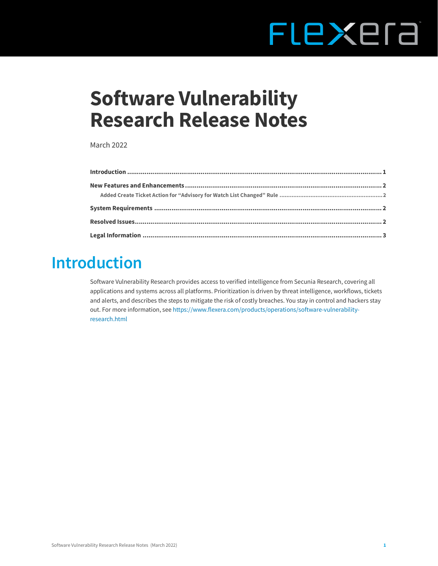# FLEXEra

## **Software Vulnerability Research Release Notes**

March 2022

### <span id="page-0-0"></span>**Introduction**

Software Vulnerability Research provides access to verified intelligence from Secunia Research, covering all applications and systems across all platforms. Prioritization is driven by threat intelligence, workflows, tickets and alerts, and describes the steps to mitigate the risk of costly breaches. You stay in control and hackers stay out. For more information, see [https://www.flexera.com/products/operations/software-vulnerability](https://www.flexera.com/products/operations/software-vulnerability-research.html)[research.html](https://www.flexera.com/products/operations/software-vulnerability-research.html)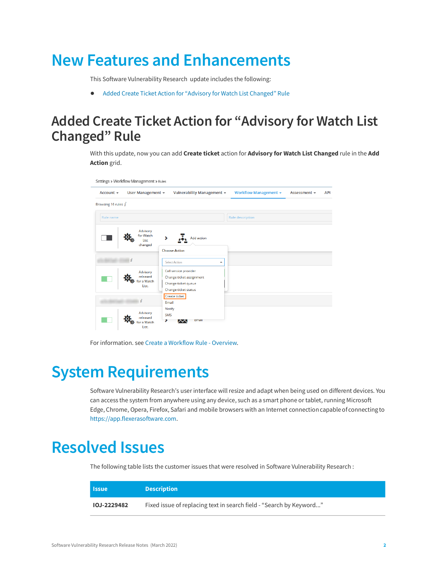## <span id="page-1-0"></span>**New Features and Enhancements**

This Software Vulnerability Research update includes the following:

**•** [Added Create Ticket Action for "Advisory for Watch List Changed" Rule](#page-1-1)

#### <span id="page-1-1"></span>**Added Create Ticket Action for "Advisory for Watch List Changed" Rule**

With this update, now you can add **Create ticket** action for **Advisory for Watch List Changed** rule in the **Add Action** grid.

| Settings > Workflow Management > Rules |                                             |                             |                                                                                                  |   |                       |              |            |
|----------------------------------------|---------------------------------------------|-----------------------------|--------------------------------------------------------------------------------------------------|---|-----------------------|--------------|------------|
| Account $\sim$                         | User Management -                           |                             | Vulnerability Management +                                                                       |   | Workflow Management + | Assessment - | <b>API</b> |
| Browsing 16 rules $i$                  |                                             |                             |                                                                                                  |   |                       |              |            |
| Rule name                              |                                             |                             |                                                                                                  |   | Rule description      |              |            |
|                                        | Advisory<br>for Watch<br>List<br>changed    |                             | Add action<br><b>Choose Action</b>                                                               |   |                       |              |            |
|                                        |                                             |                             | <b>Select Action</b>                                                                             | ▲ |                       |              |            |
|                                        | Advisory<br>released<br>or a Watch<br>List. |                             | Call service provider<br>Change ticket assignment<br>Change ticket queue<br>Change ticket status |   |                       |              |            |
|                                        | $\mathbf{z}$                                | Email                       | <b>Create ticket</b>                                                                             |   |                       |              |            |
|                                        | Advisory<br>released<br>or a Watch<br>List. | <b>Notify</b><br><b>SMS</b> | <b>Email</b>                                                                                     |   |                       |              |            |

For information. see [Create a Workflow Rule - Overview](https://docs.flexera.com/svr/ug/Content/helplibrary/Create_a_Workflow_Rule___Overview.htm).

### <span id="page-1-2"></span>**System Requirements**

Software Vulnerability Research's user interface will resize and adapt when being used on different devices. You can access the system from anywhere using any device, such as a smart phone or tablet, running Microsoft Edge, Chrome, Opera, Firefox, Safari and mobile browsers with an Internet connectioncapable of connecting to [https://app.flexerasoftware.com.](https://app.flexerasoftware.com)

### <span id="page-1-3"></span>**Resolved Issues**

The following table lists the customer issues that were resolved in Software Vulnerability Research :

| <b>Issue</b>       | <b>Description</b>                                                  |
|--------------------|---------------------------------------------------------------------|
| <b>IOJ-2229482</b> | Fixed issue of replacing text in search field - "Search by Keyword" |